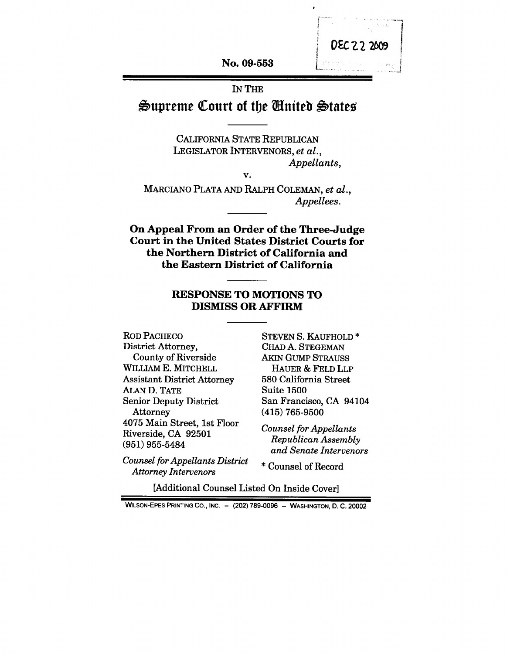**No. 09-553**

## IN THE Supreme Court of the *United* States

CALIFORNIA STATE REPUBLICAN LEGISLATOR INTERVENORS, *et al., Appellants,*

*V.*

MARCIANO PLATA AND RALPH COLEMAN, *et al., Appellees.*

**On Appeal From an Order of the Three-Judge Court in the United States District Courts for the Northern District of California and the Eastern District of California**

## **RESPONSE TO MOTIONS TO DISMISS OR AFFIRM**

ROD PACHECO District Attorney, County of Riverside WILLIAM E. MITCHELL Assistant District Attorney ALAN D. TATE Senior Deputy District Attorney 4075 Main Street, 1st Floor Riverside, CA 92501 (951) 955-5484

*Counsel for Appellants District Attorney Intervenors*

STEVEN S. KAUFHOLD<sup>\*</sup> CHAD A. STEGEMAN AKIN GUMP STRAUSS HAUER & FELD LLP 580 California Street Suite 1500 San Francisco, CA 94104 (415) 765-9500

DEC 22 2009

*Counsel for Appellants Republican Assembly and Senate Intervenors*

¯ Counsel of Record

[Additional Counsel Listed On Inside Cover]

**WILSON-EPES PRINTING CO., INC. - (202) 789-0096 - WASHINGTON, D. C. 20002**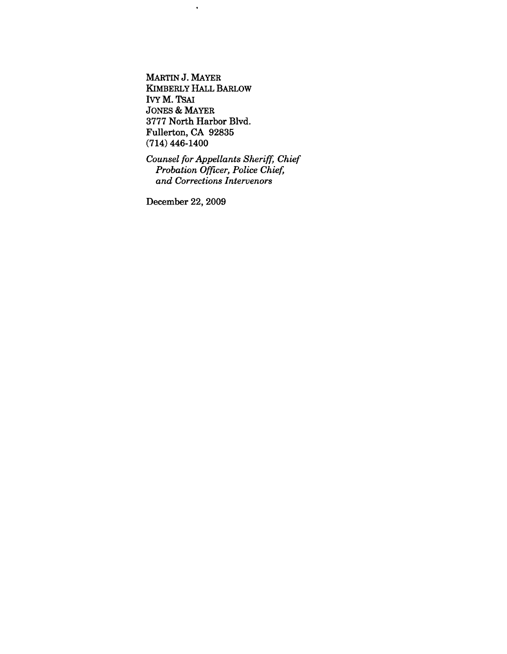MARTIN J. MAYER KIMBERLY HALL BARLOW IVY M. TSAI JONES & MAYER 3777 North Harbor Blvd. Fullerton, CA 92835 (714) 446-1400

 $\hat{\mathbf{r}}$ 

*Counsel for Appellants Sheriff,, Chief Probation Officer, Police Chief, and Corrections Intervenors*

December 22, 2009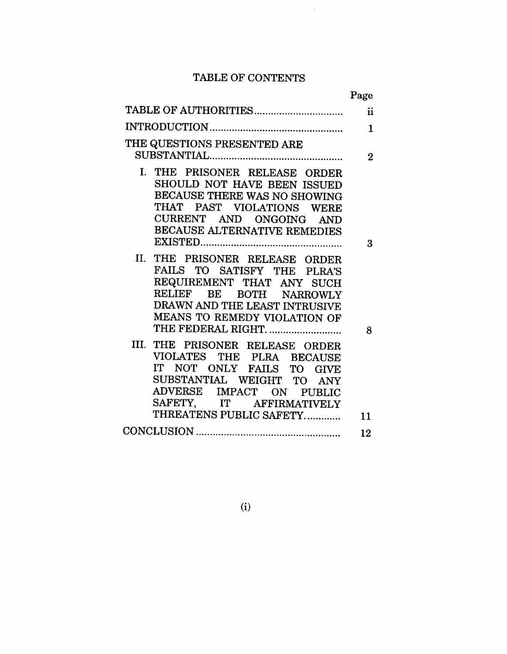## TABLE OF CONTENTS

 $\sim$ 

|                                                              | Page                |
|--------------------------------------------------------------|---------------------|
| TABLE OF AUTHORITIES                                         | $\ddot{\mathbf{i}}$ |
|                                                              | 1                   |
| THE QUESTIONS PRESENTED ARE                                  |                     |
|                                                              | $\overline{2}$      |
| I. THE PRISONER RELEASE ORDER<br>SHOULD NOT HAVE BEEN ISSUED |                     |
| BECAUSE THERE WAS NO SHOWING                                 |                     |
| THAT PAST VIOLATIONS WERE                                    |                     |
| CURRENT AND ONGOING AND                                      |                     |
| BECAUSE ALTERNATIVE REMEDIES                                 |                     |
|                                                              | 3                   |
| II.<br>THE PRISONER RELEASE ORDER                            |                     |
| FAILS TO SATISFY THE PLRA'S                                  |                     |
| REQUIREMENT THAT ANY SUCH                                    |                     |
| RELIEF BE BOTH NARROWLY                                      |                     |
| DRAWN AND THE LEAST INTRUSIVE                                |                     |
| MEANS TO REMEDY VIOLATION OF                                 |                     |
| THE FEDERAL RIGHT.                                           | 8                   |
| III. THE PRISONER RELEASE ORDER                              |                     |
| VIOLATES THE PLRA BECAUSE                                    |                     |
| IT NOT ONLY FAILS TO GIVE                                    |                     |
| SUBSTANTIAL WEIGHT TO ANY                                    |                     |
| ADVERSE IMPACT ON PUBLIC                                     |                     |
| SAFETY, IT AFFIRMATIVELY                                     |                     |
| THREATENS PUBLIC SAFETY                                      | 11                  |
|                                                              | 12                  |

(i)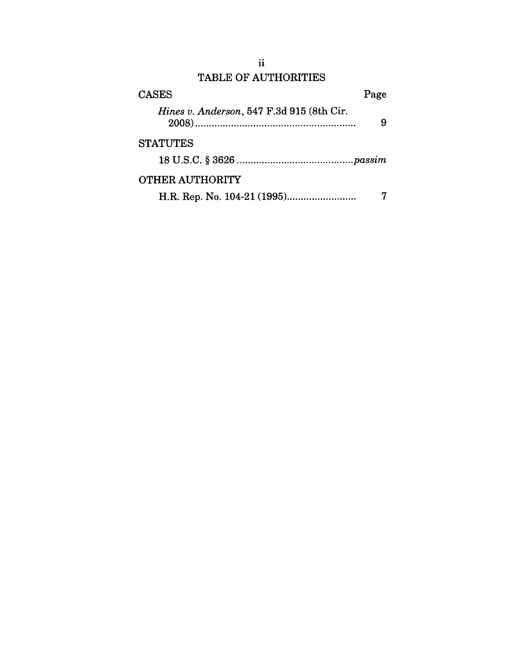# TABLE OF AUTHORITIES

| <b>CASES</b>                              | Page |
|-------------------------------------------|------|
| Hines v. Anderson, 547 F.3d 915 (8th Cir. | 9    |
| <b>STATUTES</b>                           |      |
|                                           |      |
| <b>OTHER AUTHORITY</b>                    |      |
|                                           |      |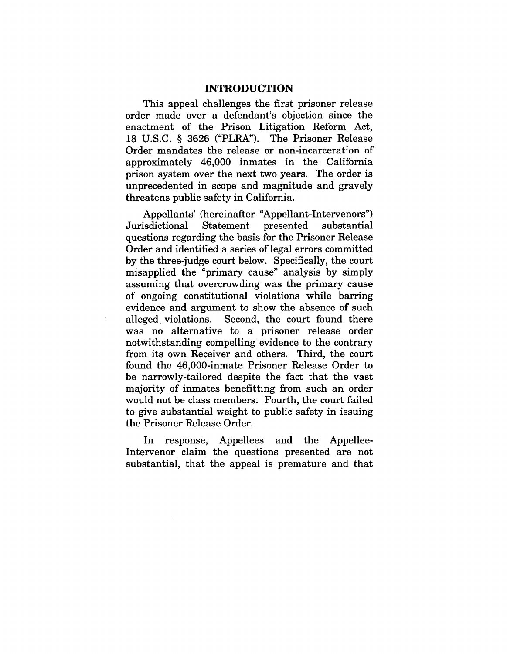#### **INTRODUCTION**

This appeal challenges the first prisoner release order made over a defendant's objection since the enactment of the Prison Litigation Reform Act, 18 U.S.C. § 3626 ("PLRA'). The Prisoner Release Order mandates the release or non-incarceration of approximately 46,000 inmates in the California prison system over the next two years. The order is unprecedented in scope and magnitude and gravely threatens public safety in California.

Appellants' (hereinafter "Appellant-Intervenors") Jurisdictional Statement presented substantial questions regarding the basis for the Prisoner Release Order and identified a series of legal errors committed by the three-judge court below. Specifically, the court misapplied the "primary cause" analysis by simply assuming that overcrowding was the primary cause of ongoing constitutional violations while barring evidence and argument to show the absence of such alleged violations. Second, the court found there was no alternative to a prisoner release order notwithstanding compelling evidence to the contrary from its own Receiver and others. Third, the court found the 46,000-inmate Prisoner Release Order to be narrowly-tailored despite the fact that the vast majority of inmates benefitting from such an order would not be class members. Fourth, the court failed to give substantial weight to public safety in issuing the Prisoner Release Order.

In response, Appellees and the Appellee-Intervenor claim the questions presented are not substantial, that the appeal is premature and that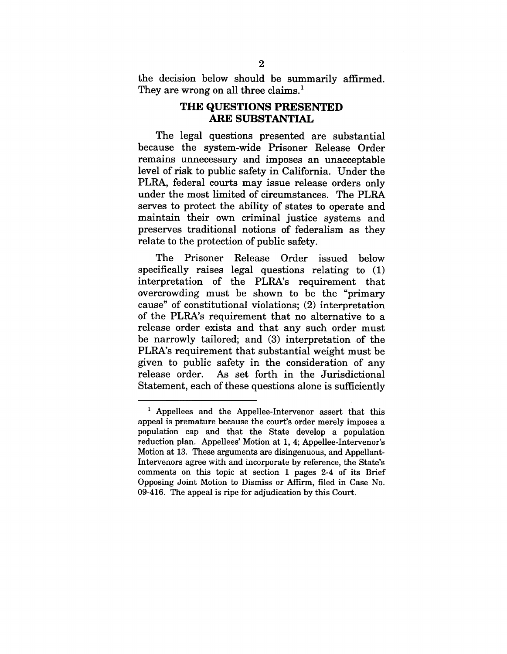the decision below should be summarily affirmed. They are wrong on all three claims.<sup>1</sup>

#### **THE QUESTIONS PRESENTED ARE SUBSTANTIAL**

The legal questions presented are substantial because the system-wide Prisoner Release Order remains unnecessary and imposes an unacceptable level of risk to public safety in California. Under the PLRA, federal courts may issue release orders only under the most limited of circumstances. The PLRA serves to protect the ability of states to operate and maintain their own criminal justice systems and preserves traditional notions of federalism as they relate to the protection of public safety.

The Prisoner Release Order issued below specifically raises legal questions relating to (1) interpretation of the PLRA's requirement that overcrowding must be shown to be the "primary cause" of constitutional violations; (2) interpretation of the PLRA's requirement that no alternative to a release order exists and that any such order must be narrowly tailored; and (3) interpretation of the PLRA's requirement that substantial weight must be given to public safety in the consideration of any release order. As set forth in the Jurisdictional Statement, each of these questions alone is sufficiently

i Appellees and the Appellee-Intervenor assert that this appeal is premature because the court's order merely imposes a population cap and that the State develop a population reduction plan. Appellees' Motion at 1, 4; Appellee-Intervenor's Motion at 13. These arguments are disingenuous, and Appellant-Intervenors agree with and incorporate by reference, the State's comments on this topic at section 1 pages 2-4 of its Brief Opposing Joint Motion to Dismiss or Affirm, filed in Case No. 09-416. The appeal is ripe for adjudication by this Court.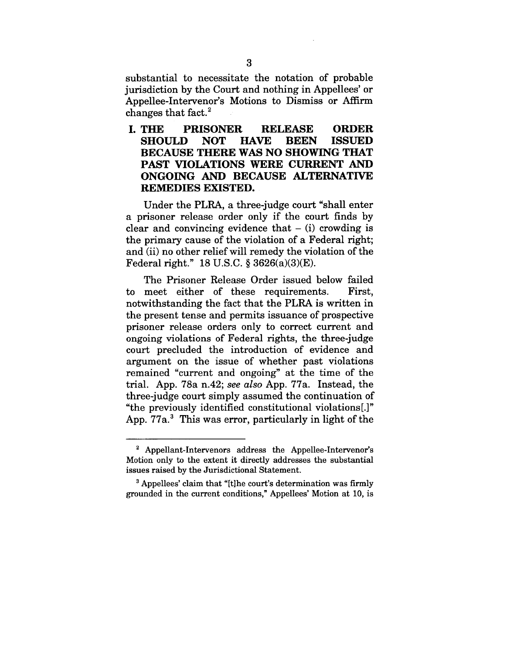substantial to necessitate the notation of probable jurisdiction by the Court and nothing in Appellees' or Appellee-Intervenor's Motions to Dismiss or Affirm changes that fact. $^2$ 

**I. THE PRISONER RELEASE ORDER SHOULD BECAUSE THERE WAS** NO SHOWING THAT PAST VIOLATIONS WERE CURRENT AND ONGOING AND BECAUSE ALTERNATIVE **REMEDIES EXISTED.**

Under the PLRA, a three-judge court "shall enter a prisoner release order only if the court finds by clear and convincing evidence that  $-$  (i) crowding is the primary cause of the violation of a Federal right; and (ii) no other relief will remedy the violation of the Federal right." 18 U.S.C. § 3626(a)(3)(E).

The Prisoner Release Order issued below failed to meet either of these requirements. First, notwithstanding the fact that the PLRA is written in the present tense and permits issuance of prospective prisoner release orders only to correct current and ongoing violations of Federal rights, the three-judge court precluded the introduction of evidence and argument on the issue of whether past violations remained "current and ongoing" at the time of the trial. App. 78a n.42; *see also* App. 77a. Instead, the three-judge court simply assumed the continuation of "the previously identified constitutional violations[.]" App. 77a.<sup>3</sup> This was error, particularly in light of the

**<sup>2</sup>** Appellant-Intervenors address the Appellee-Intervenor's Motion only to the extent it directly addresses the substantial issues raised by the Jurisdictional Statement.

<sup>3</sup> Appellees' claim that "[t]he court's determination was firmly grounded in the current conditions," Appellees' Motion at 10, is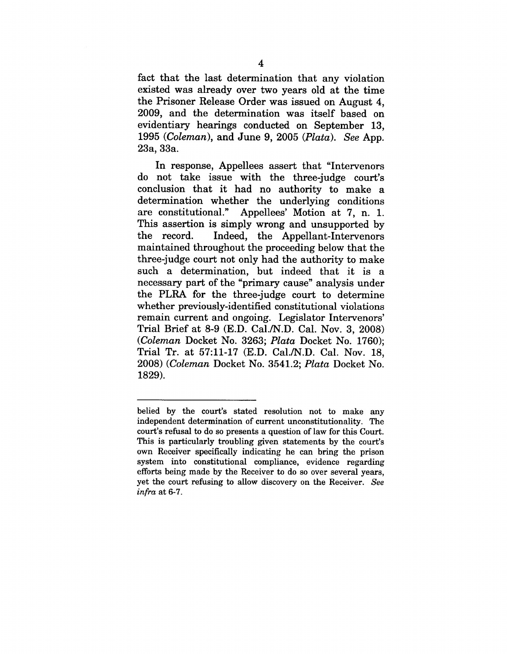fact that the last determination that any violation existed was already over two years old at the time the Prisoner Release Order was issued on August 4, 2009, and the determination was itself based on evidentiary hearings conducted on September 13, 1995 *(Coleman),* and June 9, 2005 *(Plata). See* App. 23a, 33a.

In response, Appellees assert that "Intervenors do not take issue with the three-judge court's conclusion that it had no authority to make a determination whether the underlying conditions are constitutional." Appellees' Motion at 7, n. 1. This assertion is simply wrong and unsupported by the record. Indeed, the Appellant-Intervenors maintained throughout the proceeding below that the three-judge court not only had the authority to make such a determination, but indeed that it is a necessary part of the "primary cause" analysis under the PLRA for the three-judge court to determine whether previously-identified constitutional violations remain current and ongoing. Legislator Intervenors' Trial Brief at 8-9 (E.D. Cal./N.D. Cal. Nov. 3, 2008) *(Coleman* Docket No. 3263; *Plata* Docket No. 1760); Trial Tr. at 57:11-17 (E.D. Cal./N.D. Cal. Nov. 18, 2008) *(Coleman* Docket No. 3541.2; *Plata* Docket No. 1829).

belied by the court's stated resolution not to make any independent determination of current unconstitutionality. The court's refusal to do so presents a question of law for this Court. This is particularly troubling given statements by the court's own Receiver specifically indicating he can bring the prison system into constitutional compliance, evidence regarding efforts being made by the Receiver to do so over several years, yet the court refusing to allow discovery on the Receiver. *See infra* at 6-7.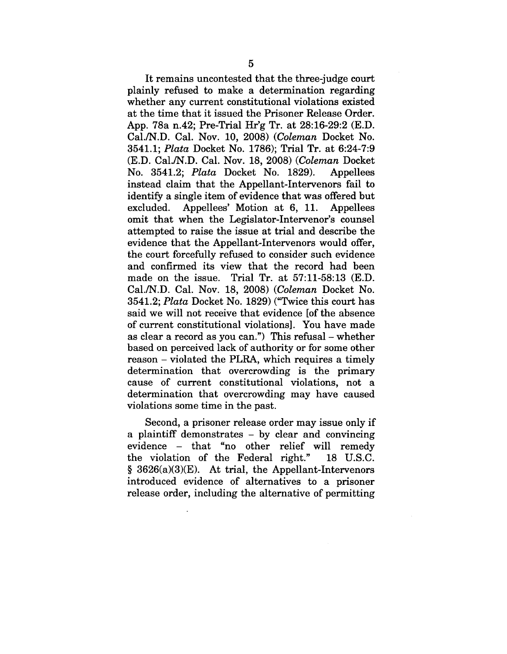It remains uncontested that the three-judge court plainly refused to make a determination regarding whether any current constitutional violations existed at the time that it issued the Prisoner Release Order. App. 78a n.42; Pre-Trial Hr'g Tr. at 28:16-29:2 (E.D. Cal./N.D. Cal. Nov. 10, 2008) *(Coleman* Docket No. 3541.1; *Plata* Docket No. 1786); Trial Tr. at 6:24-7:9 (E.D. Cal./N.D. Cal. Nov. 18, 2008) *(Coleman* Docket No. 3541.2; *Plata* Docket No. 1829). Appellees instead claim that the Appellant-Intervenors fail to identify a single item of evidence that was offered but excluded. Appellees' Motion at 6, 11. Appellees omit that when the Legislator-Intervenor's counsel attempted to raise the issue at trial and describe the evidence that the Appellant-Intervenors would offer, the court forcefully refused to consider such evidence and confirmed its view that the record had been made on the issue. Trial Tr. at 57:11-58:13 (E.D. Cal./N.D. Cal. Nov. 18, 2008) *(Coleman* Docket No. 3541.2; *Plata* Docket No. 1829) ("Twice this court has said we will not receive that evidence [of the absence of current constitutional violations]. You have made as clear a record as you can.") This refusal - whether based on perceived lack of authority or for some other reason - violated the PLRA, which requires a timely determination that overcrowding is the primary cause of current constitutional violations, not a determination that overcrowding may have caused violations some time in the past.

Second, a prisoner release order may issue only if a plaintiff demonstrates - by clear and convincing evidence - that "no other relief will remedy the violation of the Federal right." 18 U.S.C.  $§ 3626(a)(3)(E)$ . At trial, the Appellant-Intervenors introduced evidence of alternatives to a prisoner release order, including the alternative of permitting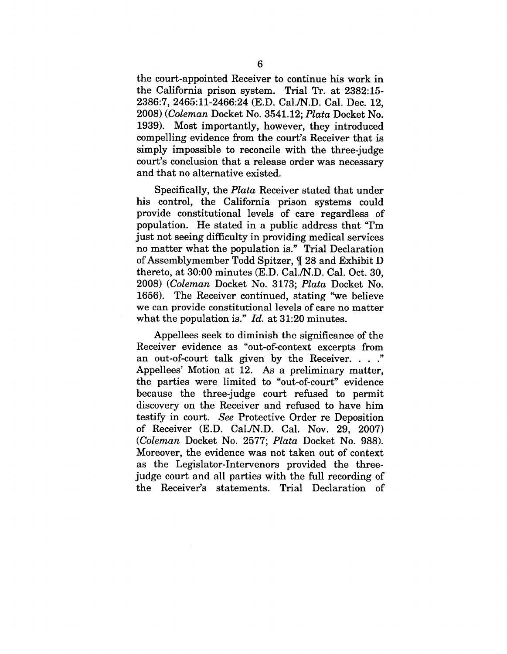the court-appointed Receiver to continue his work in the California prison system. Trial Tr. at 2382:15- 2386:7, 2465:11-2466:24 (E.D. Cal./N.D. Cal. Dec. 12, 2008) *(Coleman* Docket No. 3541.12; *Plata* Docket No. 1939). Most importantly, however, they introduced compelling evidence from the court's Receiver that is simply impossible to reconcile with the three-judge court's conclusion that a release order was necessary and that no alternative existed.

Specifically, the *Plata* Receiver stated that under his control, the California prison systems could provide constitutional levels of care regardless of population. He stated in a public address that "I'm just not seeing difficulty in providing medical services no matter what the population is." Trial Declaration of Assemblymember Todd Spitzer,  $\parallel$  28 and Exhibit D thereto, at 30:00 minutes (E.D. Cal./N.D. Cal. Oct. 30, 2008) *(Coleman* Docket No. 3173; *Plata* Docket No. 1656). The Receiver continued, stating "we believe we can provide constitutional levels of care no matter what the population is." *Id.* at 31:20 minutes.

Appellees seek to diminish the significance of the Receiver evidence as "out-of-context excerpts from an out-of-court talk given by the Receiver.  $\ldots$ . Appellees' Motion at 12. As a preliminary matter, the parties were limited to "out-of-court" evidence because the three-judge court refused to permit discovery on the Receiver and refused to have him testify in court. *See* Protective Order re Deposition of Receiver (E.D. Cal./N.D. Cal. Nov. 29, 2007) *(Coleman* Docket No. 2577; *Plata* Docket No. 988). Moreover, the evidence was not taken out of context as the Legislator-Intervenors provided the threejudge court and all parties with the full recording of the Receiver's statements. Trial Declaration of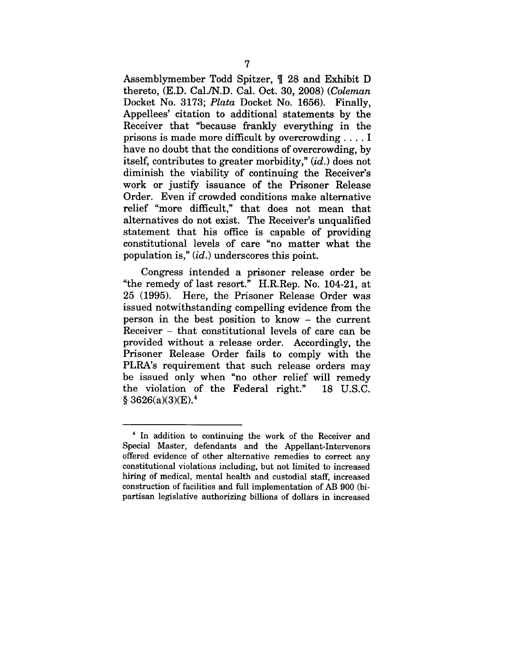Assemblymember Todd Spitzer,  $\parallel$  28 and Exhibit D thereto, (E.D. Cal./N.D. Cal. Oct. 30, 2008) *(Coleman* Docket No. 3173; *Plata* Docket No. 1656). Finally, Appellees' citation to additional statements by the Receiver that "because frankly everything in the prisons is made more difficult by overcrowding .... I have no doubt that the conditions of overcrowding, by itself, contributes to greater morbidity," *(id.)* does not diminish the viability of continuing the Receiver's work or justify issuance of the Prisoner Release Order. Even if crowded conditions make alternative relief "more difficult," that does not mean that alternatives do not exist. The Receiver's unqualified statement that his office is capable of providing constitutional levels of care "no matter what the population is," *(id.)* underscores this point.

Congress intended a prisoner release order be "the remedy of last resort." H.R.Rep. No. 104-21, at 25 (1995). Here, the Prisoner Release Order was issued notwithstanding compelling evidence from the person in the best position to know - the current Receiver - that constitutional levels of care can be provided without a release order. Accordingly, the Prisoner Release Order fails to comply with the PLRA's requirement that such release orders may be issued only when "no other relief will remedy the violation of the Federal right." 18 U.S.C.  $§ 3626(a)(3)(E).<sup>4</sup>$ 

<sup>4</sup> In addition to continuing the work of the Receiver and Special Master, defendants and the Appellant-Intervenors offered evidence of other alternative remedies to correct any constitutional violations including, but not limited to increased hiring of medical, mental health and custodial staff, increased construction of facilities and full implementation of AB 900 (bipartisan legislative authorizing billions of dollars in increased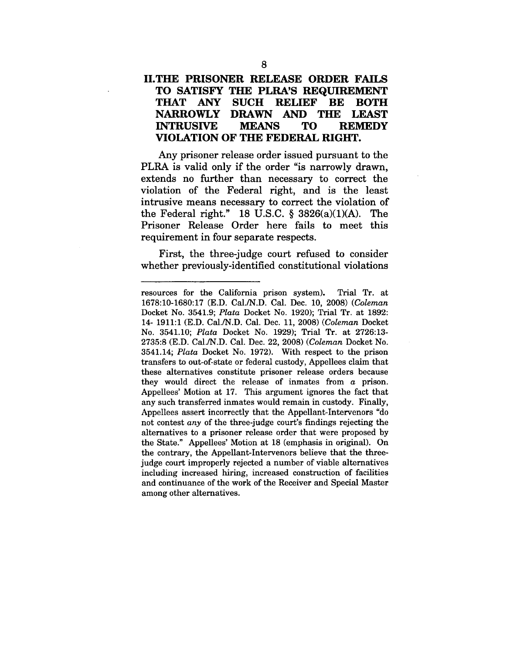### **II.THE PRISONER RELEASE ORDER FAILS TO SATISFY THE PLRA'S REQUIREMENT THAT ANY SUCH RELIEF BE BOTH NARROWLY** DRAWN AND **THE LEAST**  $\bf{INTR}$ **USIVE VIOLATION OF THE FEDERAL RIGHT.**

Any prisoner release order issued pursuant to the PLRA is valid only if the order "is narrowly drawn, extends no further than necessary to correct the violation of the Federal right, and is the least intrusive means necessary to correct the violation of the Federal right." 18 U.S.C. § 3826(a)(1)(A). The Prisoner Release Order here fails to meet this requirement in four separate respects.

First, the three-judge court refused to consider whether previously-identified constitutional violations

resources for the California prison system). Trial Tr. at 1678:10-1680:17 (E.D. Cal./N.D. Cal. Dec. 10, 2008) *(Coleman* Docket No. 3541.9; *Plata* Docket No. 1920); Trial Tr. at 1892: 14- 1911:1 (E.D. Cal./N.D. Cal. Dec. 11, 2008) *(Coleman* Docket No. 3541.10; *Plata* Docket No. 1929); Trial Tr. at 2726:13- 2735:8 (E.D. Cal./N.D. Cal. Dec. 22, 2008) *(Coleman* Docket No. 3541.14; *Plata* Docket No. 1972). With respect to the prison transfers to out-of-state or federal custody, Appellees claim that these alternatives constitute prisoner release orders because they would direct the release of inmates from a prison. Appellees' Motion at 17. This argument ignores the fact that any such transferred inmates would remain in custody. Finally, Appellees assert incorrectly that the Appellant-Intervenors "do not contest *any* of the three-judge court's findings rejecting the alternatives to a prisoner release order that were proposed by the State." Appellees' Motion at 18 (emphasis in original). On the contrary, the Appellant-Intervenors believe that the threejudge court improperly rejected a number of viable alternatives including increased hiring, increased construction of facilities and continuance of the work of the Receiver and Special Master among other alternatives.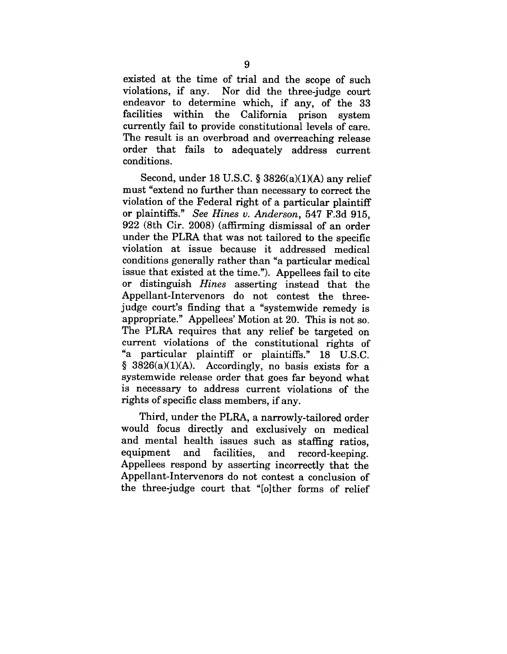existed at the time of trial and the scope of such violations, if any. Nor did the three-judge court endeavor to determine which, if any, of the 33 facilities within the California prison system currently fail to provide constitutional levels of care. The result is an overbroad and overreaching release order that fails to adequately address current conditions.

Second, under 18 U.S.C.  $\S$  3826(a)(1)(A) any relief must "extend no further than necessary to correct the violation of the Federal right of a particular plaintiff or plaintiffs." *See Hines v. Anderson,* 547 F.3d 915, 922 (8th Cir. 2008) (affirming dismissal of an order under the PLRA that was not tailored to the specific violation at issue because it addressed medical conditions generally rather than "a particular medical issue that existed at the time."). Appellees fail to cite or distinguish *Hines* asserting instead that the Appellant-Intervenors do not contest the threejudge court's finding that a "systemwide remedy is appropriate." Appellees' Motion at 20. This is not so. The PLRA requires that any relief be targeted on current violations of the constitutional rights of "a particular plaintiff or plaintiffs." 18 U.S.C.  $§$  3826(a)(1)(A). Accordingly, no basis exists for a systemwide release order that goes far beyond what is necessary to address current violations of the rights of specific class members, if any.

Third, under the PLRA, a narrowly-tailored order would focus directly and exclusively on medical and mental health issues such as staffing ratios, equipment and facilities, and record-keeping. Appellees respond by asserting incorrectly that the Appellant-Intervenors do not contest a conclusion of the three-judge court that "[o]ther forms of relief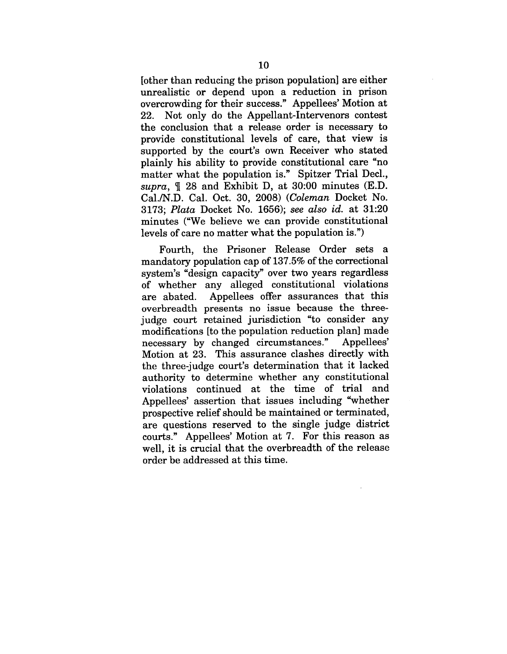[other than reducing the prison population] are either unrealistic or depend upon a reduction in prison overcrowding for their success." Appellees' Motion at 22. Not only do the Appellant-Intervenors contest the conclusion that a release order is necessary to provide constitutional levels of care, that view is supported by the court's own Receiver who stated plainly his ability to provide constitutional care "no matter what the population is." Spitzer Trial Decl., *supra, ~[* 28 and Exhibit D, at 30:00 minutes (E.D. Cal./N.D. Cal. Oct. 30, 2008) *(Coleman* Docket No. 3173; *Plata* Docket No. 1656); *see also id.* at 31:20 minutes ("We believe we can provide constitutional levels of care no matter what the population is.")

Fourth, the Prisoner Release Order sets a mandatory population cap of 137.5% of the correctional system's "design capacity" over two years regardless of whether any alleged constitutional violations<br>are abated. Appellees offer assurances that this Appellees offer assurances that this overbreadth presents no issue because the threejudge court retained jurisdiction "to consider any modifications [to the population reduction plan] made<br>necessary by changed circumstances." Appellees' necessary by changed circumstances." Motion at 23. This assurance clashes directly with the three-judge court's determination that it lacked authority to determine whether any constitutional violations continued at the time of trial and Appellees' assertion that issues including "whether prospective relief should be maintained or terminated, are questions reserved to the single judge district courts." Appellees' Motion at 7. For this reason as well, it is crucial that the overbreadth of the release order be addressed at this time.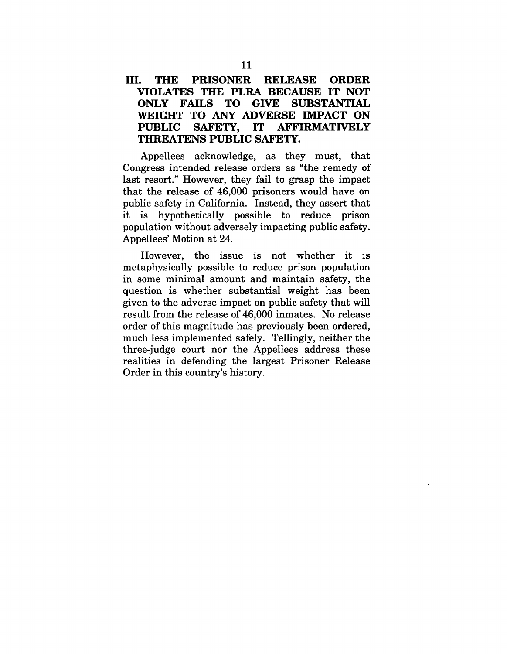## **III. THE PRISONER RELEASE ORDER VIOLATES THE PLRA BECAUSE IT NOT** ONLY FAILS WEIGHT TO ANY ADVERSE IMPACT ON<br>PUBLIC SAFETY, IT AFFIRMATIVELY PUBLIC SAFETY, IT AFFIRMATIVELY THREATENS PUBLIC SAFETY.

Appellees acknowledge, as they must, that Congress intended release orders as "the remedy of last resort." However, they fail to grasp the impact that the release of 46,000 prisoners would have on public safety in California. Instead, they assert that it is hypothetically possible to reduce prison population without adversely impacting public safety. Appellees' Motion at 24.

However, the issue is not whether it is metaphysically possible to reduce prison population in some minimal amount and maintain safety, the question is whether substantial weight has been given to the adverse impact on public safety that will result from the release of 46,000 inmates. No release order of this magnitude has previously been ordered, much less implemented safely. Tellingly, neither the three-judge court nor the Appellees address these realities in defending the largest Prisoner Release Order in this country's history.